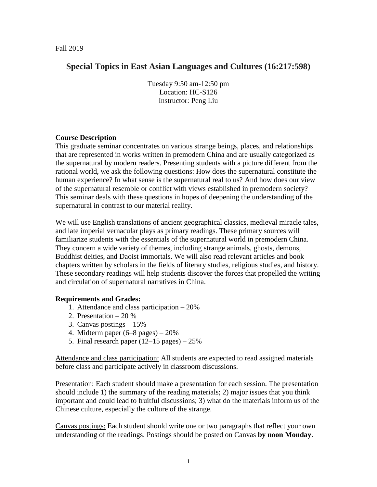# **Special Topics in East Asian Languages and Cultures (16:217:598)**

Tuesday 9:50 am-12:50 pm Location: HC-S126 Instructor: Peng Liu

## **Course Description**

This graduate seminar concentrates on various strange beings, places, and relationships that are represented in works written in premodern China and are usually categorized as the supernatural by modern readers. Presenting students with a picture different from the rational world, we ask the following questions: How does the supernatural constitute the human experience? In what sense is the supernatural real to us? And how does our view of the supernatural resemble or conflict with views established in premodern society? This seminar deals with these questions in hopes of deepening the understanding of the supernatural in contrast to our material reality.

We will use English translations of ancient geographical classics, medieval miracle tales, and late imperial vernacular plays as primary readings. These primary sources will familiarize students with the essentials of the supernatural world in premodern China. They concern a wide variety of themes, including strange animals, ghosts, demons, Buddhist deities, and Daoist immortals. We will also read relevant articles and book chapters written by scholars in the fields of literary studies, religious studies, and history. These secondary readings will help students discover the forces that propelled the writing and circulation of supernatural narratives in China.

## **Requirements and Grades:**

- 1. Attendance and class participation 20%
- 2. Presentation 20 %
- 3. Canvas postings 15%
- 4. Midterm paper (6–8 pages) 20%
- 5. Final research paper  $(12-15 \text{ pages}) 25\%$

Attendance and class participation: All students are expected to read assigned materials before class and participate actively in classroom discussions.

Presentation: Each student should make a presentation for each session. The presentation should include 1) the summary of the reading materials; 2) major issues that you think important and could lead to fruitful discussions; 3) what do the materials inform us of the Chinese culture, especially the culture of the strange.

Canvas postings: Each student should write one or two paragraphs that reflect your own understanding of the readings. Postings should be posted on Canvas **by noon Monday**.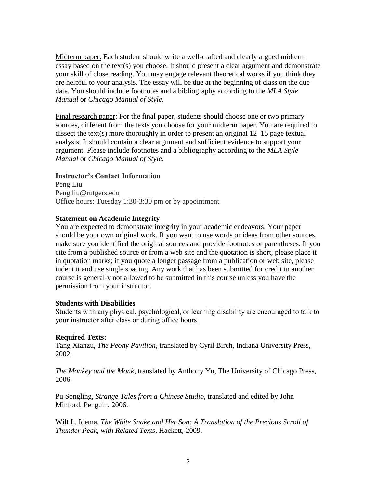Midterm paper: Each student should write a well-crafted and clearly argued midterm essay based on the text(s) you choose. It should present a clear argument and demonstrate your skill of close reading. You may engage relevant theoretical works if you think they are helpful to your analysis. The essay will be due at the beginning of class on the due date. You should include footnotes and a bibliography according to the *MLA Style Manual* or *Chicago Manual of Style*.

Final research paper: For the final paper, students should choose one or two primary sources, different from the texts you choose for your midterm paper. You are required to dissect the text(s) more thoroughly in order to present an original 12–15 page textual analysis. It should contain a clear argument and sufficient evidence to support your argument. Please include footnotes and a bibliography according to the *MLA Style Manual* or *Chicago Manual of Style*.

## **Instructor's Contact Information**

Peng Liu Peng.liu@rutgers.edu Office hours: Tuesday 1:30-3:30 pm or by appointment

## **Statement on Academic Integrity**

You are expected to demonstrate integrity in your academic endeavors. Your paper should be your own original work. If you want to use words or ideas from other sources, make sure you identified the original sources and provide footnotes or parentheses. If you cite from a published source or from a web site and the quotation is short, please place it in quotation marks; if you quote a longer passage from a publication or web site, please indent it and use single spacing. Any work that has been submitted for credit in another course is generally not allowed to be submitted in this course unless you have the permission from your instructor.

## **Students with Disabilities**

Students with any physical, psychological, or learning disability are encouraged to talk to your instructor after class or during office hours.

## **Required Texts:**

Tang Xianzu, *The Peony Pavilion*, translated by Cyril Birch, Indiana University Press, 2002.

*The Monkey and the Monk*, translated by Anthony Yu, The University of Chicago Press, 2006.

Pu Songling, *Strange Tales from a Chinese Studio*, translated and edited by John Minford, Penguin, 2006.

Wilt L. Idema, *The White Snake and Her Son: A Translation of the Precious Scroll of Thunder Peak*, *with Related Texts*, Hackett, 2009.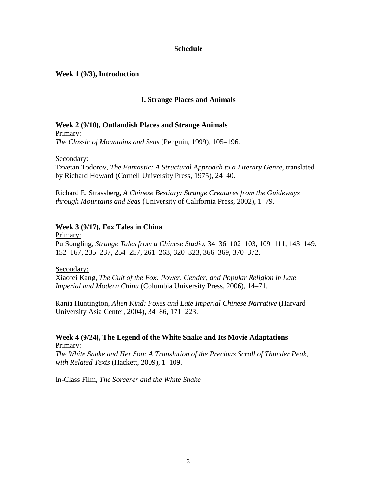### **Schedule**

### **Week 1 (9/3), Introduction**

## **I. Strange Places and Animals**

# **Week 2 (9/10), Outlandish Places and Strange Animals**

Primary: *The Classic of Mountains and Seas* (Penguin, 1999), 105–196.

Secondary:

Tzvetan Todorov, *The Fantastic: A Structural Approach to a Literary Genre*, translated by Richard Howard (Cornell University Press, 1975), 24–40.

Richard E. Strassberg, *A Chinese Bestiary: Strange Creatures from the Guideways through Mountains and Seas* (University of California Press, 2002), 1–79.

#### **Week 3 (9/17), Fox Tales in China**

Primary: Pu Songling, *Strange Tales from a Chinese Studio*, 34–36, 102–103, 109–111, 143–149, 152–167, 235–237, 254–257, 261–263, 320–323, 366–369, 370–372.

#### Secondary:

Xiaofei Kang, *The Cult of the Fox: Power, Gender, and Popular Religion in Late Imperial and Modern China* (Columbia University Press, 2006), 14–71.

Rania Huntington, *Alien Kind: Foxes and Late Imperial Chinese Narrative* (Harvard University Asia Center, 2004), 34–86, 171–223.

## **Week 4 (9/24), The Legend of the White Snake and Its Movie Adaptations** Primary:

*The White Snake and Her Son: A Translation of the Precious Scroll of Thunder Peak*, *with Related Texts* (Hackett, 2009), 1–109.

In-Class Film, *The Sorcerer and the White Snake*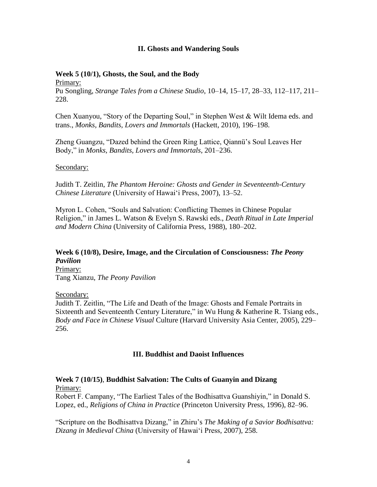## **II. Ghosts and Wandering Souls**

## **Week 5 (10/1), Ghosts, the Soul, and the Body**

Primary: Pu Songling, *Strange Tales from a Chinese Studio*, 10–14, 15–17, 28–33, 112–117, 211– 228.

Chen Xuanyou, "Story of the Departing Soul," in Stephen West & Wilt Idema eds. and trans., *Monks, Bandits, Lovers and Immortals* (Hackett, 2010), 196–198.

Zheng Guangzu, "Dazed behind the Green Ring Lattice, Qiannü's Soul Leaves Her Body," in *Monks, Bandits, Lovers and Immortals*, 201–236.

## Secondary:

Judith T. Zeitlin, *The Phantom Heroine: Ghosts and Gender in Seventeenth-Century Chinese Literature* (University of Hawai'i Press, 2007), 13–52.

Myron L. Cohen, "Souls and Salvation: Conflicting Themes in Chinese Popular Religion," in James L. Watson & Evelyn S. Rawski eds., *Death Ritual in Late Imperial and Modern China* (University of California Press, 1988), 180–202.

#### **Week 6 (10/8), Desire, Image, and the Circulation of Consciousness:** *The Peony Pavilion* Primary:

Tang Xianzu, *The Peony Pavilion*

Secondary:

Judith T. Zeitlin, "The Life and Death of the Image: Ghosts and Female Portraits in Sixteenth and Seventeenth Century Literature," in Wu Hung & Katherine R. Tsiang eds., *Body and Face in Chinese Visual* Culture (Harvard University Asia Center, 2005), 229– 256.

## **III. Buddhist and Daoist Influences**

## **Week 7 (10/15)**, **Buddhist Salvation: The Cults of Guanyin and Dizang** Primary:

Robert F. Campany, "The Earliest Tales of the Bodhisattva Guanshiyin," in Donald S. Lopez, ed., *Religions of China in Practice* (Princeton University Press, 1996), 82–96.

"Scripture on the Bodhisattva Dizang," in Zhiru's *The Making of a Savior Bodhisattva: Dizang in Medieval China* (University of Hawai'i Press, 2007), 258.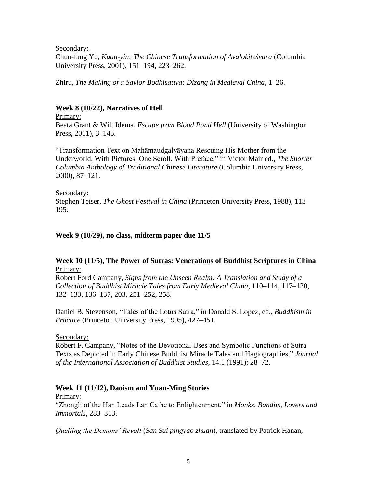Secondary:

Chun-fang Yu, *Kuan-yin: The Chinese Transformation of Avalokiteśvara* (Columbia University Press, 2001), 151–194, 223–262.

Zhiru, *The Making of a Savior Bodhisattva: Dizang in Medieval China*, 1–26.

## **Week 8 (10/22), Narratives of Hell**

Primary: Beata Grant & Wilt Idema, *Escape from Blood Pond Hell* (University of Washington Press, 2011), 3–145.

"Transformation Text on Mahāmaudgalyāyana Rescuing His Mother from the Underworld, With Pictures, One Scroll, With Preface," in Victor Mair ed., *The Shorter Columbia Anthology of Traditional Chinese Literature* (Columbia University Press, 2000), 87–121.

#### Secondary:

Stephen Teiser, *The Ghost Festival in China* (Princeton University Press, 1988), 113– 195.

## **Week 9 (10/29), no class, midterm paper due 11/5**

## **Week 10 (11/5), The Power of Sutras: Venerations of Buddhist Scriptures in China** Primary:

Robert Ford Campany, *Signs from the Unseen Realm: A Translation and Study of a Collection of Buddhist Miracle Tales from Early Medieval China*, 110–114, 117–120, 132–133, 136–137, 203, 251–252, 258.

Daniel B. Stevenson, "Tales of the Lotus Sutra," in Donald S. Lopez, ed., *Buddhism in Practice* (Princeton University Press, 1995), 427–451.

#### Secondary:

Robert F. Campany, "Notes of the Devotional Uses and Symbolic Functions of Sutra Texts as Depicted in Early Chinese Buddhist Miracle Tales and Hagiographies," *Journal of the International Association of Buddhist Studies*, 14.1 (1991): 28–72.

## **Week 11 (11/12), Daoism and Yuan-Ming Stories**

#### Primary:

"Zhongli of the Han Leads Lan Caihe to Enlightenment," in *Monks, Bandits, Lovers and Immortals*, 283–313.

*Quelling the Demons' Revolt* (*San Sui pingyao zhuan*), translated by Patrick Hanan,